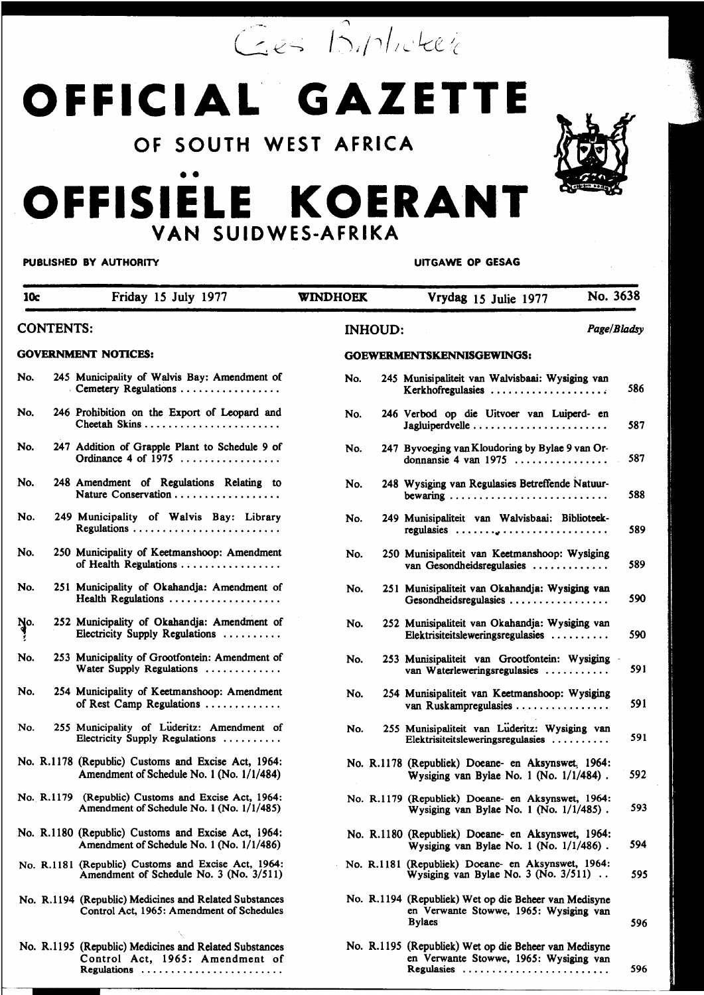Ges Biplioteck

# OFFICIAL GAZETTE

OF SOUTH WEST AFRICA

## OFFISIELE KOERANT VAN SUIDWES-AFRIKA

#### PUBLISHED BY AUTHORITY

**UITGAWE OP GESAG** 

Regulasies ...........................

596

| 10c                                            |  | Friday 15 July 1977                                                                                 | <b>WINDHOEK</b>                             |  | Vrydag 15 Julie 1977                                                                                             | No. 3638    |
|------------------------------------------------|--|-----------------------------------------------------------------------------------------------------|---------------------------------------------|--|------------------------------------------------------------------------------------------------------------------|-------------|
| <b>CONTENTS:</b><br><b>GOVERNMENT NOTICES:</b> |  |                                                                                                     | <b>INHOUD:</b><br>GOEWERMENTSKENNISGEWINGS: |  |                                                                                                                  | Page/Bladsy |
|                                                |  |                                                                                                     |                                             |  |                                                                                                                  |             |
| No.                                            |  | 245 Municipality of Walvis Bay: Amendment of<br>Cemetery Regulations                                | No.                                         |  | 245 Munisipaliteit van Walvisbaai: Wysiging van<br>Kerkhofregulasies                                             | 586         |
| No.                                            |  | 246 Prohibition on the Export of Leopard and                                                        | No.                                         |  | 246 Verbod op die Uitvoer van Luiperd- en                                                                        | 587         |
| No.                                            |  | 247 Addition of Grapple Plant to Schedule 9 of<br>Ordinance 4 of $1975$                             | No.                                         |  | 247 Byvoeging van Kloudoring by Bylae 9 van Or-<br>donnansie 4 van 1975 $\ldots$                                 | 587         |
| No.                                            |  | 248 Amendment of Regulations Relating to                                                            | No.                                         |  | 248 Wysiging van Regulasies Betreffende Natuur-                                                                  | 588         |
| No.                                            |  | 249 Municipality of Walvis Bay: Library<br>Regulations                                              | No.                                         |  | 249 Munisipaliteit van Walvisbaai: Biblioteek-                                                                   | 589         |
| No.                                            |  | 250 Municipality of Keetmanshoop: Amendment<br>of Health Regulations                                | No.                                         |  | 250 Munisipaliteit van Keetmanshoop: Wysiging<br>van Gesondheidsregulasies                                       | 589         |
| No.                                            |  | 251 Municipality of Okahandja: Amendment of<br>Health Regulations                                   | No.                                         |  | 251 Munisipaliteit van Okahandja: Wysiging van<br>Gesondheidsregulasies                                          | 590         |
| No.<br>!                                       |  | 252 Municipality of Okahandja: Amendment of<br>Electricity Supply Regulations                       | No.                                         |  | 252 Munisipaliteit van Okahandja: Wysiging van<br>Elektrisiteitsleweringsregulasies                              | 590         |
| No.                                            |  | 253 Municipality of Grootfontein: Amendment of<br>Water Supply Regulations                          | No.                                         |  | 253 Munisipaliteit van Grootfontein: Wysiging<br>van Waterleweringsregulasies                                    | 591         |
| No.                                            |  | 254 Municipality of Keetmanshoop: Amendment<br>of Rest Camp Regulations                             | No.                                         |  | 254 Munisipaliteit van Keetmanshoop: Wysiging<br>van Ruskampregulasies                                           | 591         |
| No.                                            |  | 255 Municipality of Luderitz: Amendment of<br>Electricity Supply Regulations                        | No.                                         |  | 255 Munisipaliteit van Lüderitz: Wysiging van<br>Elektrisiteitsleweringsregulasies                               | 591         |
|                                                |  | No. R.1178 (Republic) Customs and Excise Act, 1964:<br>Amendment of Schedule No. 1 (No. 1/1/484)    |                                             |  | No. R.1178 (Republick) Doeane- en Aksynswet, 1964:<br>Wysiging van Bylae No. 1 (No. $1/1/484$ ).                 | 592         |
|                                                |  | No. R.1179 (Republic) Customs and Excise Act, 1964:<br>Amendment of Schedule No. 1 (No. 1/1/485)    |                                             |  | No. R.1179 (Republiek) Doeane- en Aksynswet, 1964:<br>Wysiging van Bylae No. 1 (No. $1/1/485$ ).                 | 593         |
|                                                |  | No. R.1180 (Republic) Customs and Excise Act, 1964:<br>Amendment of Schedule No. 1 (No. 1/1/486)    |                                             |  | No. R.1180 (Republiek) Doeane- en Aksynswet, 1964:<br>Wysiging van Bylae No. 1 (No. 1/1/486).                    | 594         |
|                                                |  | No. R.1181 (Republic) Customs and Excise Act, 1964:<br>Amendment of Schedule No. 3 (No. 3/511)      |                                             |  | No. R.1181 (Republiek) Doeane- en Aksynswet, 1964:<br>Wysiging van Bylae No. 3 (No. $3/511$ ).                   | 595         |
|                                                |  | No. R.1194 (Republic) Medicines and Related Substances<br>Control Act, 1965: Amendment of Schedules |                                             |  | No. R.1194 (Republiek) Wet op die Beheer van Medisyne<br>en Verwante Stowwe, 1965: Wysiging van<br><b>Bylacs</b> | 596         |
|                                                |  | No. R.1195 (Republic) Medicines and Related Substances<br>Control Act, 1965: Amendment of           |                                             |  | No. R.1195 (Republiek) Wet op die Beheer van Medisyne<br>en Verwante Stowwe, 1965: Wysiging van                  |             |

Regulations ........................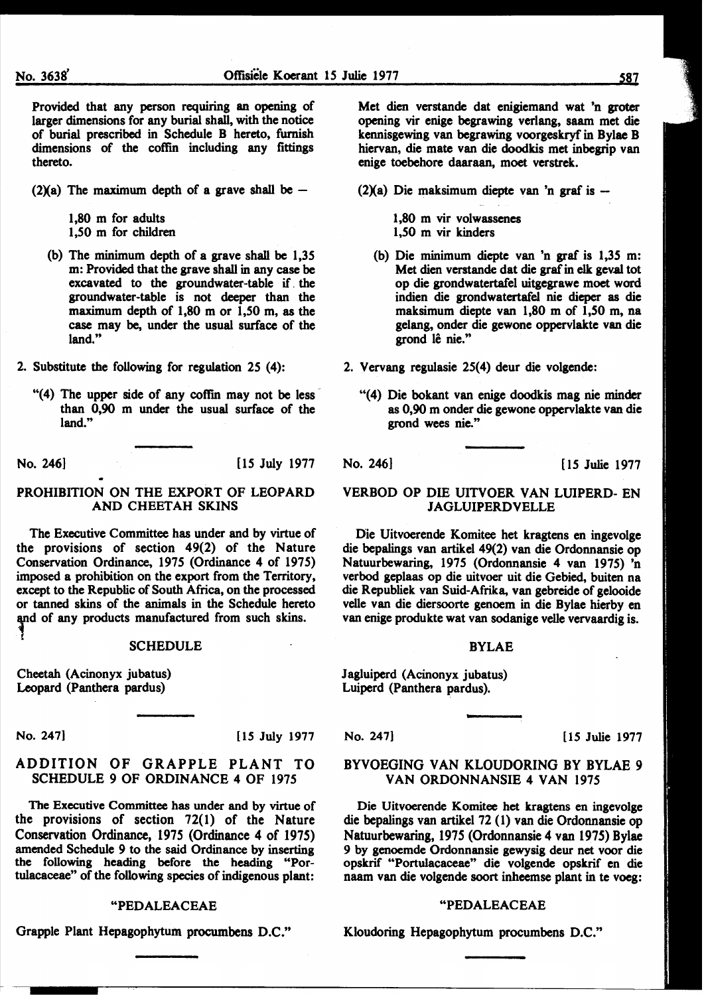Provided that any person requiring an opening of larger dimensions for any burial shall, with the notice of burial prescribed in Schedule B hereto, furnish dimensions of the coffin including any fittings thereto.

(2)(a) The maximum depth of a grave shall be  $-$ 

1,80 m for adults 1,50 m for children

- (b) The minimum depth of a grave shall be 1,35 m: Provided that the grave shall in any case be excavated to the groundwater-table if. the groundwater-table is not deeper than the maximum depth of  $1,80$  m or  $1,50$  m, as the case may be, under the usual surface of the land."
- 2. Substitute the following for regulation 25 (4):
	- "(4) The upper side of any coffin may not be less than 0,90 m under the usual surface of the land."

No. 246] [IS July 1977

#### PROHIBITION ON THE EXPORT OF LEOPARD AND CHEETAH SKINS

The Executive Committee has under and by virtue of the provisions of section 49(2) of the Nature Conservation Ordinance, 1975 (Ordinance 4 of 1975) imposed a prohibition on the export from the Territory, except to the Republic of South Africa, on the processed or tanned skins of the animals in the Schedule hereto and of any products manufactured from such skins.

#### SCHEDULE

Cheetah (Acinonyx jubatus) Leopard (Panthera pardus)

No. 247] [15 July 1977

#### ADDITION OF GRAPPLE PLANT TO SCHEDULE 9 OF ORDINANCE 4 OF 1975

The Executive Committee has under and by virtue of the provisions of section 72(1) of the Nature Conservation Ordinance, 1975 (Ordinance 4 of 1975) amended Schedule 9 to the said Ordinance by inserting the following heading before the heading "Portulacaceae" of the following species of indigenous plant:

#### "PEDALEACEAE

Grapple Plant Hepagophytum procumbens D.C."

Met dien verstande dat enigiemand wat 'n groter opening vir enige begrawing verlang, saam met die kennisgewing van begrawing voorgeskryf in Bylae B hiervan, die mate van die doodkis met inbegrip van enige toebehore daaraan, moet verstrek.

 $(2)(a)$  Die maksimum diepte van 'n graf is -

1,80 m vir volwassenes 1,50 m vir kinders

(b) Die minimum diepte van 'n graf is 1,35 m: Met dien verstande dat die graf in elk geval tot op die grondwatertafel uitgegrawe moet word indien die grondwatertafel nie dieper as die maksimum diepte van 1,80 m of 1,50 m, na gelang, onder die gewone oppervlakte van die grond lê nie."

2. Vervang regulasie 25(4) deur die volgende:

"(4) Die bokant van enige doodkis mag nie minder as 0,90 m onder die gewone oppervlakte van die grond wees nie."

No. 246] [ 15 Julie 1977

#### VERBOD OP DIE UITVOER VAN LUIPERD- EN JAGLUIPERDVELLE

Die Uitvoerende Komitee bet kragtens en ingevolge die bepalings van artikel 49(2) van die Ordonnansie op Natuurbewaring, 1975 (Ordonnansie 4 van 1975) 'n verbod geplaas op die uitvoer uit die Gebied, buiten na die Republiek van Suid-Afrika, van gebreide of gelooide velle van die diersoorte genoem in die Bylae hierby en van enige produkte wat van sodanige velle vervaardig is.

#### BYLAE

Jagluiperd (Acinonyx jubatus) Luiperd (Panthera pardus).

No. 247] [15 Julie 1977]

#### BYVOEGING VAN KLOUDORING BY BYLAE 9 VAN ORDONNANSIE 4 VAN 1975

Die Uitvoerende Komitee bet kragtens en ingevolge die bepalings van artikel 72 (I) van die Ordonnansie op Natuurbewaring, 1975 (Ordonnansie 4 van 1975) Bylae 9 by genoemde Ordonnansie gewysig deur net voor die opskrif "Portulacaceae" die volgende opskrif en die naam van die volgende soort inheemse plant in te voeg:

#### "PEDALEACEAE

Kloudoring Hepagophytum procumbens D.C."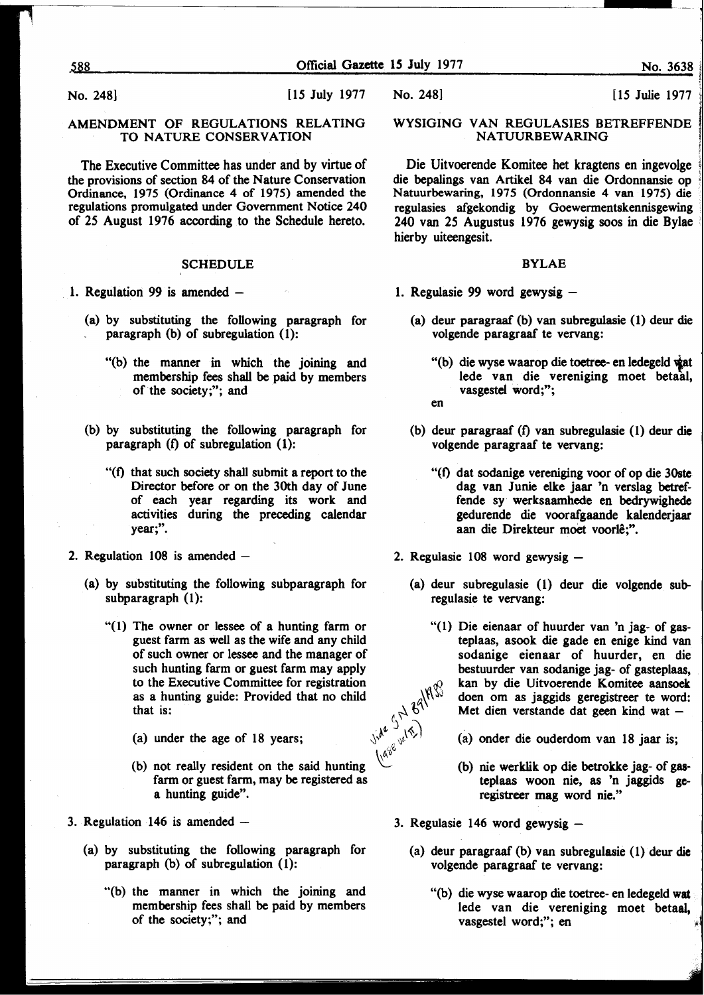No. 248] [15 July 1977

#### AMENDMENT OF REGULATIONS RELATING TO NATURE CONSERVATION

The Executive Committee has under and by virtue of the provisions of section 84 of the Nature Conservation Ordinance, 1975 (Ordinance 4 of 1975) amended the regulations promulgated under Government Notice 240 of 25 August 1976 according to the Schedule hereto.

#### **SCHEDULE**

1. Regulation 99 is amended  $-$ 

- (a) by substituting the following paragraph for paragraph (b) of subregulation (1):
	- "(b) the manner in which the joining and membership fees shall be paid by members of the society;"; and
- (b) by substituting the following paragraph for paragraph (f) of subregulation (1):
	- "(f) that such society shall submit a report to the Director before or on the 30th day of June of each year regarding its work and activities during the preceding calendar year;".
- 2. Regulation  $108$  is amended  $-$ 
	- (a) by substituting the following subparagraph for subparagraph (1):
		- "(1) The owner or lessee of a hunting farm or guest farm as well as the wife and any child of such owner or lessee and the manager of such hunting farm or guest farm may apply to the Executive Committee for registration<br>as a hunting guide: Provided that no child<br>that is:<br>(a) under the age of 18 years;<br>(b) not regilled as a hunting guide: Provided that no child that is:
			- (a) under the age of 18 years;
			- (b) not really resident on the said hunting farm or guest farm, may be registered as a hunting guide".
- 3. Regulation 146 is amended  $-$ 
	- (a) by substituting the following paragraph for paragraph (b) of subregulation (1):
		- "(b) the manner in which the joining and membership fees shall be paid by members of the society;"; and

#### WYSIGING VAN REGULASIES BETREFFENDE NATUURBEWARING

Die Uitvoerende Komitee het kragtens en ingevolge die bepalings van Artikel 84 van die Ordonnansie op Natuurbewaring, 1975 (Ordonnansie 4 van 1975) die regulasies afgekondig by Goewermentskennisgewing 240 van 25 Augustus 1976 gewysig soos in die Bylae hierby uiteengesit.

#### BYLAE

- 1. Regulasie 99 word gewysig  $-$ 
	- (a) deur paragraaf (b) van subregulasie (1) deur die volgende paragraaf te vervang:
		- "(b) die wyse waarop die toetree- en ledegeld wat lede van die vereniging moet betaal, vasgestel word;";
		- en
	- (b) deur paragraaf (f) van subregulasie (1) deur die volgende paragraaf te vervang:
		- "(f) dat sodanige vereniging voor of op die 30ste dag van Junie elke jaar 'n verslag betreffende sy werksaamhede en bedrywighede gedurende die voorafgaande kalenderjaar aan die Direkteur moet voorle;".
- 2. Regulasie 108 word gewysig -
	- (a) deur subregulasie (1) deur die volgende subregulasie te vervang:
		- "(1) Die eienaar of huurder van 'n jag- of gasteplaas, asook die gade en enige kind van sodanige eienaar of huurder, en die bestuurder van sodanige jag- of gasteplaas, kan by die Uitvoerende Komitee aansoek Enj doen om as jaggids geregistreer te word: Met dien verstande dat geen kind wat -
			- (a) onder die ouderdom van 18 jaar is;
			- (b) nie werklik op die betrokke jag- of gasteplaas woon nie, as 'n jaggids geregistreer mag word nie."
- 3. Regulasie 146 word gewysig  $-$ 
	- (a) deur paragraaf (b) van subregulasie (1) deur die volgende paragraaf te vervang:
		- "(b) die wyse waarop die toetree- en ledegeld wat lede van die vereniging moet betaal, vasgestel word;"; en

No. 248] [15 Julie 1977]